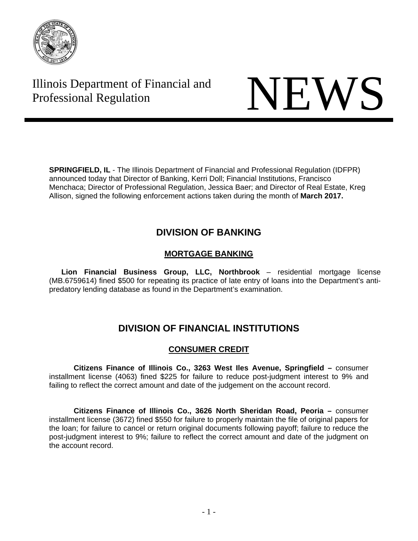

# Illinois Department of Financial and Illinois Department of Financial and<br>Professional Regulation NEWS

**SPRINGFIELD, IL** - The Illinois Department of Financial and Professional Regulation (IDFPR) announced today that Director of Banking, Kerri Doll; Financial Institutions, Francisco Menchaca; Director of Professional Regulation, Jessica Baer; and Director of Real Estate, Kreg Allison, signed the following enforcement actions taken during the month of **March 2017.** 

## **DIVISION OF BANKING**

## **MORTGAGE BANKING**

 **Lion Financial Business Group, LLC, Northbrook** – residential mortgage license (MB.6759614) fined \$500 for repeating its practice of late entry of loans into the Department's antipredatory lending database as found in the Department's examination.

## **DIVISION OF FINANCIAL INSTITUTIONS**

## **CONSUMER CREDIT**

**Citizens Finance of Illinois Co., 3263 West Iles Avenue, Springfield –** consumer installment license (4063) fined \$225 for failure to reduce post-judgment interest to 9% and failing to reflect the correct amount and date of the judgement on the account record.

**Citizens Finance of Illinois Co., 3626 North Sheridan Road, Peoria –** consumer installment license (3672) fined \$550 for failure to properly maintain the file of original papers for the loan; for failure to cancel or return original documents following payoff; failure to reduce the post-judgment interest to 9%; failure to reflect the correct amount and date of the judgment on the account record.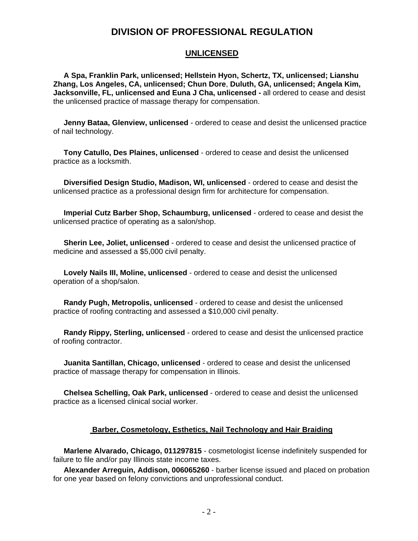## **DIVISION OF PROFESSIONAL REGULATION**

### **UNLICENSED**

 **A Spa, Franklin Park, unlicensed; Hellstein Hyon, Schertz, TX, unlicensed; Lianshu Zhang, Los Angeles, CA, unlicensed; Chun Dore**, **Duluth, GA, unlicensed; Angela Kim, Jacksonville, FL, unlicensed and Euna J Cha, unlicensed -** all ordered to cease and desist the unlicensed practice of massage therapy for compensation.

 **Jenny Bataa, Glenview, unlicensed** - ordered to cease and desist the unlicensed practice of nail technology.

 **Tony Catullo, Des Plaines, unlicensed** - ordered to cease and desist the unlicensed practice as a locksmith.

 **Diversified Design Studio, Madison, WI, unlicensed** - ordered to cease and desist the unlicensed practice as a professional design firm for architecture for compensation.

 **Imperial Cutz Barber Shop, Schaumburg, unlicensed** - ordered to cease and desist the unlicensed practice of operating as a salon/shop.

 **Sherin Lee, Joliet, unlicensed** - ordered to cease and desist the unlicensed practice of medicine and assessed a \$5,000 civil penalty.

 **Lovely Nails III, Moline, unlicensed** - ordered to cease and desist the unlicensed operation of a shop/salon.

 **Randy Pugh, Metropolis, unlicensed** - ordered to cease and desist the unlicensed practice of roofing contracting and assessed a \$10,000 civil penalty.

 **Randy Rippy, Sterling, unlicensed** - ordered to cease and desist the unlicensed practice of roofing contractor.

 **Juanita Santillan, Chicago, unlicensed** - ordered to cease and desist the unlicensed practice of massage therapy for compensation in Illinois.

 **Chelsea Schelling, Oak Park, unlicensed** - ordered to cease and desist the unlicensed practice as a licensed clinical social worker.

#### **Barber, Cosmetology, Esthetics, Nail Technology and Hair Braiding**

 **Marlene Alvarado, Chicago, 011297815** - cosmetologist license indefinitely suspended for failure to file and/or pay Illinois state income taxes.

 **Alexander Arreguin, Addison, 006065260** - barber license issued and placed on probation for one year based on felony convictions and unprofessional conduct.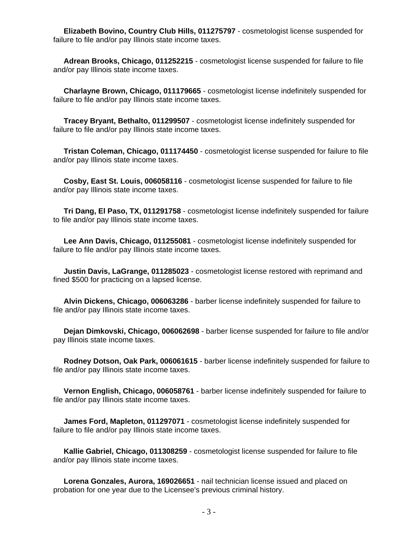**Elizabeth Bovino, Country Club Hills, 011275797** - cosmetologist license suspended for failure to file and/or pay Illinois state income taxes.

 **Adrean Brooks, Chicago, 011252215** - cosmetologist license suspended for failure to file and/or pay Illinois state income taxes.

 **Charlayne Brown, Chicago, 011179665** - cosmetologist license indefinitely suspended for failure to file and/or pay Illinois state income taxes.

 **Tracey Bryant, Bethalto, 011299507** - cosmetologist license indefinitely suspended for failure to file and/or pay Illinois state income taxes.

 **Tristan Coleman, Chicago, 011174450** - cosmetologist license suspended for failure to file and/or pay Illinois state income taxes.

 **Cosby, East St. Louis, 006058116** - cosmetologist license suspended for failure to file and/or pay Illinois state income taxes.

 **Tri Dang, El Paso, TX, 011291758** - cosmetologist license indefinitely suspended for failure to file and/or pay Illinois state income taxes.

 **Lee Ann Davis, Chicago, 011255081** - cosmetologist license indefinitely suspended for failure to file and/or pay Illinois state income taxes.

 **Justin Davis, LaGrange, 011285023** - cosmetologist license restored with reprimand and fined \$500 for practicing on a lapsed license.

 **Alvin Dickens, Chicago, 006063286** - barber license indefinitely suspended for failure to file and/or pay Illinois state income taxes.

 **Dejan Dimkovski, Chicago, 006062698** - barber license suspended for failure to file and/or pay Illinois state income taxes.

 **Rodney Dotson, Oak Park, 006061615** - barber license indefinitely suspended for failure to file and/or pay Illinois state income taxes.

 **Vernon English, Chicago, 006058761** - barber license indefinitely suspended for failure to file and/or pay Illinois state income taxes.

 **James Ford, Mapleton, 011297071** - cosmetologist license indefinitely suspended for failure to file and/or pay Illinois state income taxes.

 **Kallie Gabriel, Chicago, 011308259** - cosmetologist license suspended for failure to file and/or pay Illinois state income taxes.

 **Lorena Gonzales, Aurora, 169026651** - nail technician license issued and placed on probation for one year due to the Licensee's previous criminal history.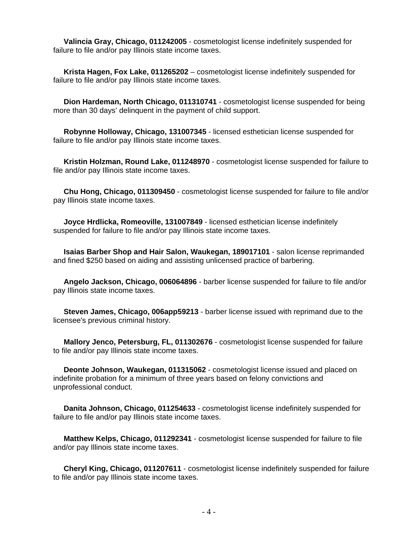**Valincia Gray, Chicago, 011242005** - cosmetologist license indefinitely suspended for failure to file and/or pay Illinois state income taxes.

 **Krista Hagen, Fox Lake, 011265202** – cosmetologist license indefinitely suspended for failure to file and/or pay Illinois state income taxes.

 **Dion Hardeman, North Chicago, 011310741** - cosmetologist license suspended for being more than 30 days' delinquent in the payment of child support.

 **Robynne Holloway, Chicago, 131007345** - licensed esthetician license suspended for failure to file and/or pay Illinois state income taxes.

 **Kristin Holzman, Round Lake, 011248970** - cosmetologist license suspended for failure to file and/or pay Illinois state income taxes.

 **Chu Hong, Chicago, 011309450** - cosmetologist license suspended for failure to file and/or pay Illinois state income taxes.

 **Joyce Hrdlicka, Romeoville, 131007849** - licensed esthetician license indefinitely suspended for failure to file and/or pay Illinois state income taxes.

 **Isaias Barber Shop and Hair Salon, Waukegan, 189017101** - salon license reprimanded and fined \$250 based on aiding and assisting unlicensed practice of barbering.

 **Angelo Jackson, Chicago, 006064896** - barber license suspended for failure to file and/or pay Illinois state income taxes.

 **Steven James, Chicago, 006app59213** - barber license issued with reprimand due to the licensee's previous criminal history.

 **Mallory Jenco, Petersburg, FL, 011302676** - cosmetologist license suspended for failure to file and/or pay Illinois state income taxes.

 **Deonte Johnson, Waukegan, 011315062** - cosmetologist license issued and placed on indefinite probation for a minimum of three years based on felony convictions and unprofessional conduct.

 **Danita Johnson, Chicago, 011254633** - cosmetologist license indefinitely suspended for failure to file and/or pay Illinois state income taxes.

 **Matthew Kelps, Chicago, 011292341** - cosmetologist license suspended for failure to file and/or pay Illinois state income taxes.

 **Cheryl King, Chicago, 011207611** - cosmetologist license indefinitely suspended for failure to file and/or pay Illinois state income taxes.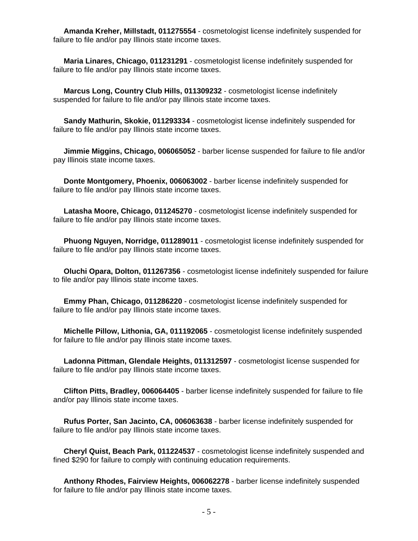**Amanda Kreher, Millstadt, 011275554** - cosmetologist license indefinitely suspended for failure to file and/or pay Illinois state income taxes.

 **Maria Linares, Chicago, 011231291** - cosmetologist license indefinitely suspended for failure to file and/or pay Illinois state income taxes.

 **Marcus Long, Country Club Hills, 011309232** - cosmetologist license indefinitely suspended for failure to file and/or pay Illinois state income taxes.

 **Sandy Mathurin, Skokie, 011293334** - cosmetologist license indefinitely suspended for failure to file and/or pay Illinois state income taxes.

 **Jimmie Miggins, Chicago, 006065052** - barber license suspended for failure to file and/or pay Illinois state income taxes.

 **Donte Montgomery, Phoenix, 006063002** - barber license indefinitely suspended for failure to file and/or pay Illinois state income taxes.

 **Latasha Moore, Chicago, 011245270** - cosmetologist license indefinitely suspended for failure to file and/or pay Illinois state income taxes.

 **Phuong Nguyen, Norridge, 011289011** - cosmetologist license indefinitely suspended for failure to file and/or pay Illinois state income taxes.

 **Oluchi Opara, Dolton, 011267356** - cosmetologist license indefinitely suspended for failure to file and/or pay Illinois state income taxes.

 **Emmy Phan, Chicago, 011286220** - cosmetologist license indefinitely suspended for failure to file and/or pay Illinois state income taxes.

 **Michelle Pillow, Lithonia, GA, 011192065** - cosmetologist license indefinitely suspended for failure to file and/or pay Illinois state income taxes.

 **Ladonna Pittman, Glendale Heights, 011312597** - cosmetologist license suspended for failure to file and/or pay Illinois state income taxes.

 **Clifton Pitts, Bradley, 006064405** - barber license indefinitely suspended for failure to file and/or pay Illinois state income taxes.

 **Rufus Porter, San Jacinto, CA, 006063638** - barber license indefinitely suspended for failure to file and/or pay Illinois state income taxes.

 **Cheryl Quist, Beach Park, 011224537** - cosmetologist license indefinitely suspended and fined \$290 for failure to comply with continuing education requirements.

 **Anthony Rhodes, Fairview Heights, 006062278** - barber license indefinitely suspended for failure to file and/or pay Illinois state income taxes.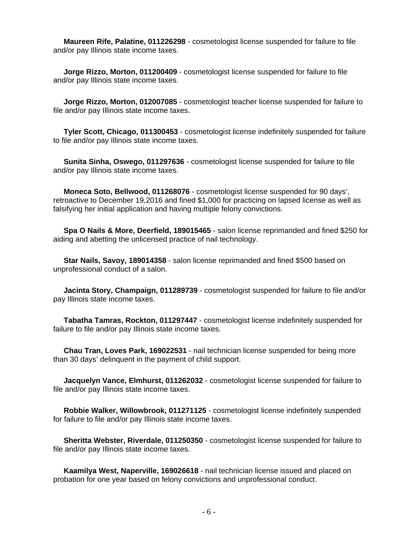**Maureen Rife, Palatine, 011226298** - cosmetologist license suspended for failure to file and/or pay Illinois state income taxes.

 **Jorge Rizzo, Morton, 011200409** - cosmetologist license suspended for failure to file and/or pay Illinois state income taxes.

 **Jorge Rizzo, Morton, 012007085** - cosmetologist teacher license suspended for failure to file and/or pay Illinois state income taxes.

 **Tyler Scott, Chicago, 011300453** - cosmetologist license indefinitely suspended for failure to file and/or pay Illinois state income taxes.

 **Sunita Sinha, Oswego, 011297636** - cosmetologist license suspended for failure to file and/or pay Illinois state income taxes.

 **Moneca Soto, Bellwood, 011268076** - cosmetologist license suspended for 90 days', retroactive to December 19,2016 and fined \$1,000 for practicing on lapsed license as well as falsifying her initial application and having multiple felony convictions.

 **Spa O Nails & More, Deerfield, 189015465** - salon license reprimanded and fined \$250 for aiding and abetting the unlicensed practice of nail technology.

 **Star Nails, Savoy, 189014358** - salon license reprimanded and fined \$500 based on unprofessional conduct of a salon.

 **Jacinta Story, Champaign, 011289739** - cosmetologist suspended for failure to file and/or pay Illinois state income taxes.

 **Tabatha Tamras, Rockton, 011297447** - cosmetologist license indefinitely suspended for failure to file and/or pay Illinois state income taxes.

 **Chau Tran, Loves Park, 169022531** - nail technician license suspended for being more than 30 days' delinquent in the payment of child support.

 **Jacquelyn Vance, Elmhurst, 011262032** - cosmetologist license suspended for failure to file and/or pay Illinois state income taxes.

 **Robbie Walker, Willowbrook, 011271125** - cosmetologist license indefinitely suspended for failure to file and/or pay Illinois state income taxes.

 **Sheritta Webster, Riverdale, 011250350** - cosmetologist license suspended for failure to file and/or pay Illinois state income taxes.

 **Kaamilya West, Naperville, 169026618** - nail technician license issued and placed on probation for one year based on felony convictions and unprofessional conduct.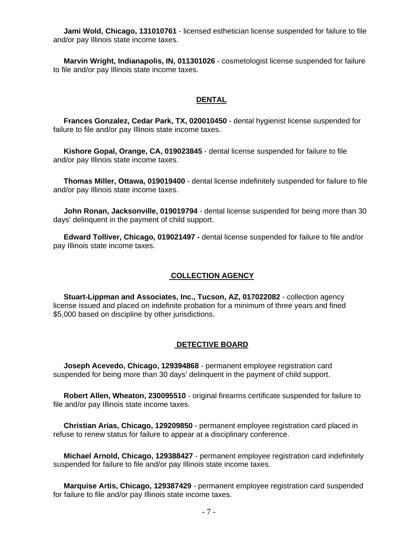**Jami Wold, Chicago, 131010761** - licensed esthetician license suspended for failure to file and/or pay Illinois state income taxes.

 **Marvin Wright, Indianapolis, IN, 011301026** - cosmetologist license suspended for failure to file and/or pay Illinois state income taxes.

#### **DENTAL**

 **Frances Gonzalez, Cedar Park, TX, 020010450** - dental hygienist license suspended for failure to file and/or pay Illinois state income taxes.

 **Kishore Gopal, Orange, CA, 019023845** - dental license suspended for failure to file and/or pay Illinois state income taxes.

 **Thomas Miller, Ottawa, 019019400** - dental license indefinitely suspended for failure to file and/or pay Illinois state income taxes.

 **John Ronan, Jacksonville, 019019794** - dental license suspended for being more than 30 days' delinquent in the payment of child support.

 **Edward Tolliver, Chicago, 019021497 -** dental license suspended for failure to file and/or pay Illinois state income taxes.

#### **COLLECTION AGENCY**

 **Stuart-Lippman and Associates, Inc., Tucson, AZ, 017022082** - collection agency license issued and placed on indefinite probation for a minimum of three years and fined \$5,000 based on discipline by other jurisdictions.

#### **DETECTIVE BOARD**

 **Joseph Acevedo, Chicago, 129394868** - permanent employee registration card suspended for being more than 30 days' delinquent in the payment of child support.

 **Robert Allen, Wheaton, 230095510** - original firearms certificate suspended for failure to file and/or pay Illinois state income taxes.

 **Christian Arias, Chicago, 129209850** - permanent employee registration card placed in refuse to renew status for failure to appear at a disciplinary conference.

 **Michael Arnold, Chicago, 129388427** - permanent employee registration card indefinitely suspended for failure to file and/or pay Illinois state income taxes.

 **Marquise Artis, Chicago, 129387429** - permanent employee registration card suspended for failure to file and/or pay Illinois state income taxes.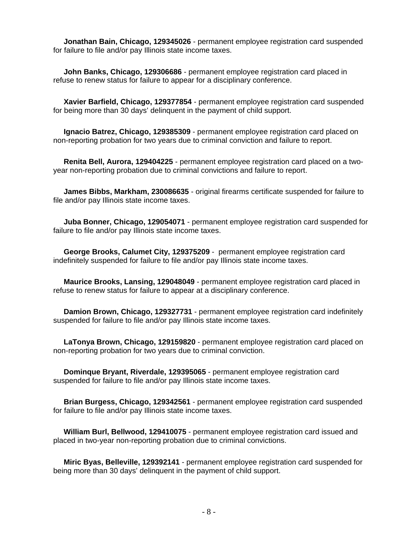**Jonathan Bain, Chicago, 129345026** - permanent employee registration card suspended for failure to file and/or pay Illinois state income taxes.

 **John Banks, Chicago, 129306686** - permanent employee registration card placed in refuse to renew status for failure to appear for a disciplinary conference.

 **Xavier Barfield, Chicago, 129377854** - permanent employee registration card suspended for being more than 30 days' delinquent in the payment of child support.

 **Ignacio Batrez, Chicago, 129385309** - permanent employee registration card placed on non-reporting probation for two years due to criminal conviction and failure to report.

 **Renita Bell, Aurora, 129404225** - permanent employee registration card placed on a twoyear non-reporting probation due to criminal convictions and failure to report.

 **James Bibbs, Markham, 230086635** - original firearms certificate suspended for failure to file and/or pay Illinois state income taxes.

 **Juba Bonner, Chicago, 129054071** - permanent employee registration card suspended for failure to file and/or pay Illinois state income taxes.

 **George Brooks, Calumet City, 129375209** - permanent employee registration card indefinitely suspended for failure to file and/or pay Illinois state income taxes.

 **Maurice Brooks, Lansing, 129048049** - permanent employee registration card placed in refuse to renew status for failure to appear at a disciplinary conference.

 **Damion Brown, Chicago, 129327731** - permanent employee registration card indefinitely suspended for failure to file and/or pay Illinois state income taxes.

 **LaTonya Brown, Chicago, 129159820** - permanent employee registration card placed on non-reporting probation for two years due to criminal conviction.

 **Dominque Bryant, Riverdale, 129395065** - permanent employee registration card suspended for failure to file and/or pay Illinois state income taxes.

 **Brian Burgess, Chicago, 129342561** - permanent employee registration card suspended for failure to file and/or pay Illinois state income taxes.

 **William Burl, Bellwood, 129410075** - permanent employee registration card issued and placed in two-year non-reporting probation due to criminal convictions.

 **Miric Byas, Belleville, 129392141** - permanent employee registration card suspended for being more than 30 days' delinquent in the payment of child support.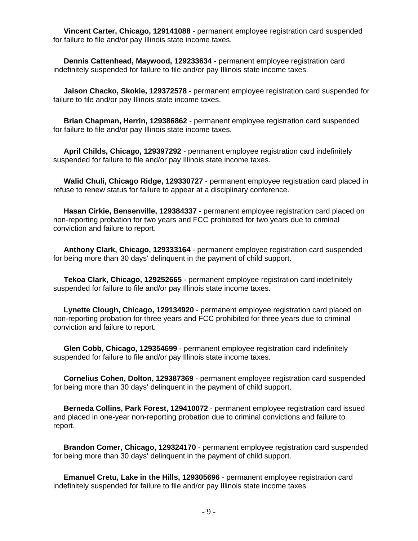**Vincent Carter, Chicago, 129141088** - permanent employee registration card suspended for failure to file and/or pay Illinois state income taxes.

 **Dennis Cattenhead, Maywood, 129233634** - permanent employee registration card indefinitely suspended for failure to file and/or pay Illinois state income taxes.

 **Jaison Chacko, Skokie, 129372578** - permanent employee registration card suspended for failure to file and/or pay Illinois state income taxes.

 **Brian Chapman, Herrin, 129386862** - permanent employee registration card suspended for failure to file and/or pay Illinois state income taxes.

 **April Childs, Chicago, 129397292** - permanent employee registration card indefinitely suspended for failure to file and/or pay Illinois state income taxes.

 **Walid Chuli, Chicago Ridge, 129330727** - permanent employee registration card placed in refuse to renew status for failure to appear at a disciplinary conference.

 **Hasan Cirkie, Bensenville, 129384337** - permanent employee registration card placed on non-reporting probation for two years and FCC prohibited for two years due to criminal conviction and failure to report.

 **Anthony Clark, Chicago, 129333164** - permanent employee registration card suspended for being more than 30 days' delinquent in the payment of child support.

 **Tekoa Clark, Chicago, 129252665** - permanent employee registration card indefinitely suspended for failure to file and/or pay Illinois state income taxes.

 **Lynette Clough, Chicago, 129134920** - permanent employee registration card placed on non-reporting probation for three years and FCC prohibited for three years due to criminal conviction and failure to report.

 **Glen Cobb, Chicago, 129354699** - permanent employee registration card indefinitely suspended for failure to file and/or pay Illinois state income taxes.

 **Cornelius Cohen, Dolton, 129387369** - permanent employee registration card suspended for being more than 30 days' delinquent in the payment of child support.

 **Berneda Collins, Park Forest, 129410072** - permanent employee registration card issued and placed in one-year non-reporting probation due to criminal convictions and failure to report.

 **Brandon Comer, Chicago, 129324170** - permanent employee registration card suspended for being more than 30 days' delinquent in the payment of child support.

 **Emanuel Cretu, Lake in the Hills, 129305696** - permanent employee registration card indefinitely suspended for failure to file and/or pay Illinois state income taxes.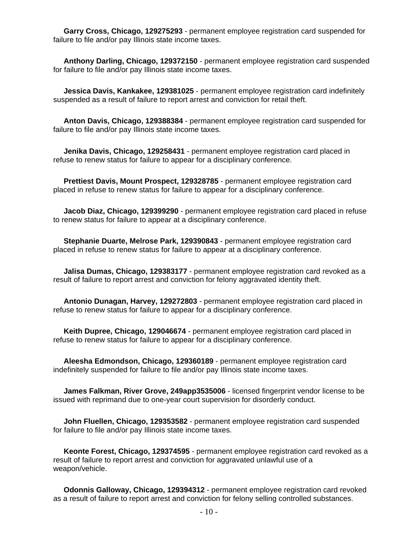**Garry Cross, Chicago, 129275293** - permanent employee registration card suspended for failure to file and/or pay Illinois state income taxes.

 **Anthony Darling, Chicago, 129372150** - permanent employee registration card suspended for failure to file and/or pay Illinois state income taxes.

 **Jessica Davis, Kankakee, 129381025** - permanent employee registration card indefinitely suspended as a result of failure to report arrest and conviction for retail theft.

 **Anton Davis, Chicago, 129388384** - permanent employee registration card suspended for failure to file and/or pay Illinois state income taxes.

 **Jenika Davis, Chicago, 129258431** - permanent employee registration card placed in refuse to renew status for failure to appear for a disciplinary conference.

 **Prettiest Davis, Mount Prospect, 129328785** - permanent employee registration card placed in refuse to renew status for failure to appear for a disciplinary conference.

 **Jacob Diaz, Chicago, 129399290** - permanent employee registration card placed in refuse to renew status for failure to appear at a disciplinary conference.

 **Stephanie Duarte, Melrose Park, 129390843** - permanent employee registration card placed in refuse to renew status for failure to appear at a disciplinary conference.

 **Jalisa Dumas, Chicago, 129383177** - permanent employee registration card revoked as a result of failure to report arrest and conviction for felony aggravated identity theft.

 **Antonio Dunagan, Harvey, 129272803** - permanent employee registration card placed in refuse to renew status for failure to appear for a disciplinary conference.

 **Keith Dupree, Chicago, 129046674** - permanent employee registration card placed in refuse to renew status for failure to appear for a disciplinary conference.

 **Aleesha Edmondson, Chicago, 129360189** - permanent employee registration card indefinitely suspended for failure to file and/or pay Illinois state income taxes.

 **James Falkman, River Grove, 249app3535006** - licensed fingerprint vendor license to be issued with reprimand due to one-year court supervision for disorderly conduct.

 **John Fluellen, Chicago, 129353582** - permanent employee registration card suspended for failure to file and/or pay Illinois state income taxes.

 **Keonte Forest, Chicago, 129374595** - permanent employee registration card revoked as a result of failure to report arrest and conviction for aggravated unlawful use of a weapon/vehicle.

 **Odonnis Galloway, Chicago, 129394312** - permanent employee registration card revoked as a result of failure to report arrest and conviction for felony selling controlled substances.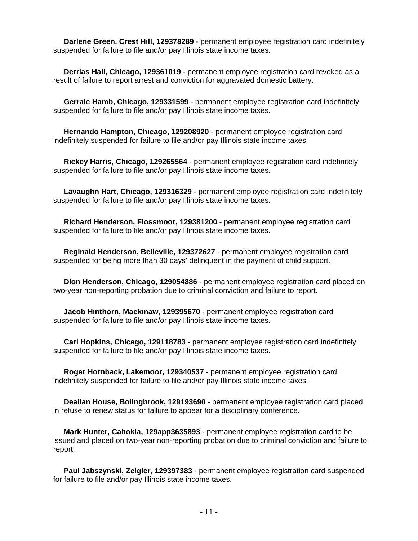**Darlene Green, Crest Hill, 129378289** - permanent employee registration card indefinitely suspended for failure to file and/or pay Illinois state income taxes.

 **Derrias Hall, Chicago, 129361019** - permanent employee registration card revoked as a result of failure to report arrest and conviction for aggravated domestic battery.

 **Gerrale Hamb, Chicago, 129331599** - permanent employee registration card indefinitely suspended for failure to file and/or pay Illinois state income taxes.

 **Hernando Hampton, Chicago, 129208920** - permanent employee registration card indefinitely suspended for failure to file and/or pay Illinois state income taxes.

 **Rickey Harris, Chicago, 129265564** - permanent employee registration card indefinitely suspended for failure to file and/or pay Illinois state income taxes.

 **Lavaughn Hart, Chicago, 129316329** - permanent employee registration card indefinitely suspended for failure to file and/or pay Illinois state income taxes.

 **Richard Henderson, Flossmoor, 129381200** - permanent employee registration card suspended for failure to file and/or pay Illinois state income taxes.

 **Reginald Henderson, Belleville, 129372627** - permanent employee registration card suspended for being more than 30 days' delinquent in the payment of child support.

 **Dion Henderson, Chicago, 129054886** - permanent employee registration card placed on two-year non-reporting probation due to criminal conviction and failure to report.

 **Jacob Hinthorn, Mackinaw, 129395670** - permanent employee registration card suspended for failure to file and/or pay Illinois state income taxes.

 **Carl Hopkins, Chicago, 129118783** - permanent employee registration card indefinitely suspended for failure to file and/or pay Illinois state income taxes.

 **Roger Hornback, Lakemoor, 129340537** - permanent employee registration card indefinitely suspended for failure to file and/or pay Illinois state income taxes.

 **Deallan House, Bolingbrook, 129193690** - permanent employee registration card placed in refuse to renew status for failure to appear for a disciplinary conference.

 **Mark Hunter, Cahokia, 129app3635893** - permanent employee registration card to be issued and placed on two-year non-reporting probation due to criminal conviction and failure to report.

 **Paul Jabszynski, Zeigler, 129397383** - permanent employee registration card suspended for failure to file and/or pay Illinois state income taxes.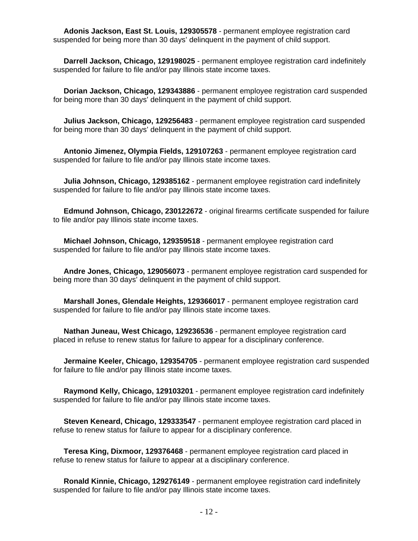**Adonis Jackson, East St. Louis, 129305578** - permanent employee registration card suspended for being more than 30 days' delinquent in the payment of child support.

 **Darrell Jackson, Chicago, 129198025** - permanent employee registration card indefinitely suspended for failure to file and/or pay Illinois state income taxes.

 **Dorian Jackson, Chicago, 129343886** - permanent employee registration card suspended for being more than 30 days' delinquent in the payment of child support.

 **Julius Jackson, Chicago, 129256483** - permanent employee registration card suspended for being more than 30 days' delinquent in the payment of child support.

 **Antonio Jimenez, Olympia Fields, 129107263** - permanent employee registration card suspended for failure to file and/or pay Illinois state income taxes.

 **Julia Johnson, Chicago, 129385162** - permanent employee registration card indefinitely suspended for failure to file and/or pay Illinois state income taxes.

 **Edmund Johnson, Chicago, 230122672** - original firearms certificate suspended for failure to file and/or pay Illinois state income taxes.

 **Michael Johnson, Chicago, 129359518** - permanent employee registration card suspended for failure to file and/or pay Illinois state income taxes.

 **Andre Jones, Chicago, 129056073** - permanent employee registration card suspended for being more than 30 days' delinquent in the payment of child support.

 **Marshall Jones, Glendale Heights, 129366017** - permanent employee registration card suspended for failure to file and/or pay Illinois state income taxes.

 **Nathan Juneau, West Chicago, 129236536** - permanent employee registration card placed in refuse to renew status for failure to appear for a disciplinary conference.

 **Jermaine Keeler, Chicago, 129354705** - permanent employee registration card suspended for failure to file and/or pay Illinois state income taxes.

 **Raymond Kelly, Chicago, 129103201** - permanent employee registration card indefinitely suspended for failure to file and/or pay Illinois state income taxes.

 **Steven Keneard, Chicago, 129333547** - permanent employee registration card placed in refuse to renew status for failure to appear for a disciplinary conference.

 **Teresa King, Dixmoor, 129376468** - permanent employee registration card placed in refuse to renew status for failure to appear at a disciplinary conference.

 **Ronald Kinnie, Chicago, 129276149** - permanent employee registration card indefinitely suspended for failure to file and/or pay Illinois state income taxes.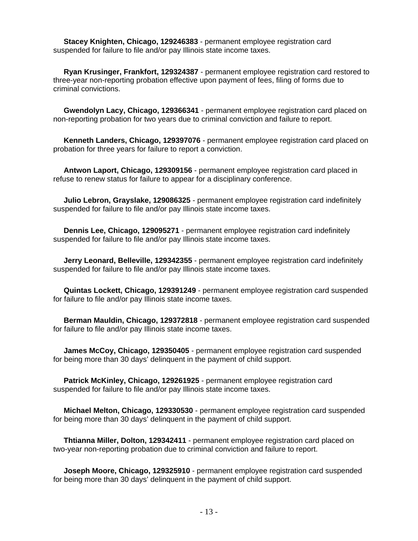**Stacey Knighten, Chicago, 129246383** - permanent employee registration card suspended for failure to file and/or pay Illinois state income taxes.

 **Ryan Krusinger, Frankfort, 129324387** - permanent employee registration card restored to three-year non-reporting probation effective upon payment of fees, filing of forms due to criminal convictions.

 **Gwendolyn Lacy, Chicago, 129366341** - permanent employee registration card placed on non-reporting probation for two years due to criminal conviction and failure to report.

 **Kenneth Landers, Chicago, 129397076** - permanent employee registration card placed on probation for three years for failure to report a conviction.

 **Antwon Laport, Chicago, 129309156** - permanent employee registration card placed in refuse to renew status for failure to appear for a disciplinary conference.

 **Julio Lebron, Grayslake, 129086325** - permanent employee registration card indefinitely suspended for failure to file and/or pay Illinois state income taxes.

 **Dennis Lee, Chicago, 129095271** - permanent employee registration card indefinitely suspended for failure to file and/or pay Illinois state income taxes.

 **Jerry Leonard, Belleville, 129342355** - permanent employee registration card indefinitely suspended for failure to file and/or pay Illinois state income taxes.

 **Quintas Lockett, Chicago, 129391249** - permanent employee registration card suspended for failure to file and/or pay Illinois state income taxes.

 **Berman Mauldin, Chicago, 129372818** - permanent employee registration card suspended for failure to file and/or pay Illinois state income taxes.

 **James McCoy, Chicago, 129350405** - permanent employee registration card suspended for being more than 30 days' delinquent in the payment of child support.

 **Patrick McKinley, Chicago, 129261925** - permanent employee registration card suspended for failure to file and/or pay Illinois state income taxes.

 **Michael Melton, Chicago, 129330530** - permanent employee registration card suspended for being more than 30 days' delinquent in the payment of child support.

 **Thtianna Miller, Dolton, 129342411** - permanent employee registration card placed on two-year non-reporting probation due to criminal conviction and failure to report.

 **Joseph Moore, Chicago, 129325910** - permanent employee registration card suspended for being more than 30 days' delinquent in the payment of child support.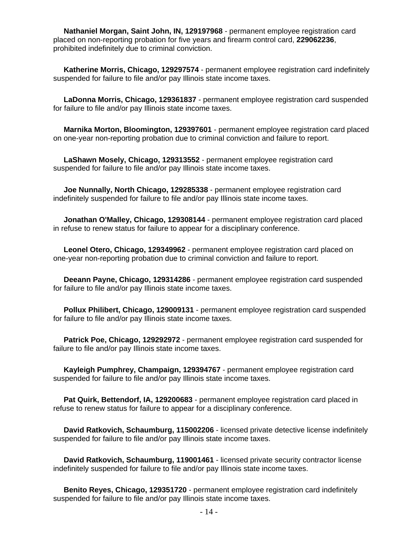**Nathaniel Morgan, Saint John, IN, 129197968** - permanent employee registration card placed on non-reporting probation for five years and firearm control card, **229062236**, prohibited indefinitely due to criminal conviction.

 **Katherine Morris, Chicago, 129297574** - permanent employee registration card indefinitely suspended for failure to file and/or pay Illinois state income taxes.

 **LaDonna Morris, Chicago, 129361837** - permanent employee registration card suspended for failure to file and/or pay Illinois state income taxes.

 **Marnika Morton, Bloomington, 129397601** - permanent employee registration card placed on one-year non-reporting probation due to criminal conviction and failure to report.

 **LaShawn Mosely, Chicago, 129313552** - permanent employee registration card suspended for failure to file and/or pay Illinois state income taxes.

 **Joe Nunnally, North Chicago, 129285338** - permanent employee registration card indefinitely suspended for failure to file and/or pay Illinois state income taxes.

 **Jonathan O'Malley, Chicago, 129308144** - permanent employee registration card placed in refuse to renew status for failure to appear for a disciplinary conference.

 **Leonel Otero, Chicago, 129349962** - permanent employee registration card placed on one-year non-reporting probation due to criminal conviction and failure to report.

 **Deeann Payne, Chicago, 129314286** - permanent employee registration card suspended for failure to file and/or pay Illinois state income taxes.

 **Pollux Philibert, Chicago, 129009131** - permanent employee registration card suspended for failure to file and/or pay Illinois state income taxes.

 **Patrick Poe, Chicago, 129292972** - permanent employee registration card suspended for failure to file and/or pay Illinois state income taxes.

 **Kayleigh Pumphrey, Champaign, 129394767** - permanent employee registration card suspended for failure to file and/or pay Illinois state income taxes.

 **Pat Quirk, Bettendorf, IA, 129200683** - permanent employee registration card placed in refuse to renew status for failure to appear for a disciplinary conference.

 **David Ratkovich, Schaumburg, 115002206** - licensed private detective license indefinitely suspended for failure to file and/or pay Illinois state income taxes.

 **David Ratkovich, Schaumburg, 119001461** - licensed private security contractor license indefinitely suspended for failure to file and/or pay Illinois state income taxes.

 **Benito Reyes, Chicago, 129351720** - permanent employee registration card indefinitely suspended for failure to file and/or pay Illinois state income taxes.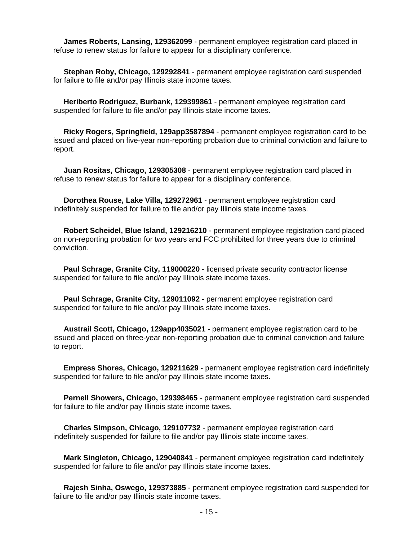**James Roberts, Lansing, 129362099** - permanent employee registration card placed in refuse to renew status for failure to appear for a disciplinary conference.

 **Stephan Roby, Chicago, 129292841** - permanent employee registration card suspended for failure to file and/or pay Illinois state income taxes.

 **Heriberto Rodriguez, Burbank, 129399861** - permanent employee registration card suspended for failure to file and/or pay Illinois state income taxes.

 **Ricky Rogers, Springfield, 129app3587894** - permanent employee registration card to be issued and placed on five-year non-reporting probation due to criminal conviction and failure to report.

 **Juan Rositas, Chicago, 129305308** - permanent employee registration card placed in refuse to renew status for failure to appear for a disciplinary conference.

 **Dorothea Rouse, Lake Villa, 129272961** - permanent employee registration card indefinitely suspended for failure to file and/or pay Illinois state income taxes.

 **Robert Scheidel, Blue Island, 129216210** - permanent employee registration card placed on non-reporting probation for two years and FCC prohibited for three years due to criminal conviction.

 **Paul Schrage, Granite City, 119000220** - licensed private security contractor license suspended for failure to file and/or pay Illinois state income taxes.

 **Paul Schrage, Granite City, 129011092** - permanent employee registration card suspended for failure to file and/or pay Illinois state income taxes.

 **Austrail Scott, Chicago, 129app4035021** - permanent employee registration card to be issued and placed on three-year non-reporting probation due to criminal conviction and failure to report.

 **Empress Shores, Chicago, 129211629** - permanent employee registration card indefinitely suspended for failure to file and/or pay Illinois state income taxes.

 **Pernell Showers, Chicago, 129398465** - permanent employee registration card suspended for failure to file and/or pay Illinois state income taxes.

 **Charles Simpson, Chicago, 129107732** - permanent employee registration card indefinitely suspended for failure to file and/or pay Illinois state income taxes.

 **Mark Singleton, Chicago, 129040841** - permanent employee registration card indefinitely suspended for failure to file and/or pay Illinois state income taxes.

 **Rajesh Sinha, Oswego, 129373885** - permanent employee registration card suspended for failure to file and/or pay Illinois state income taxes.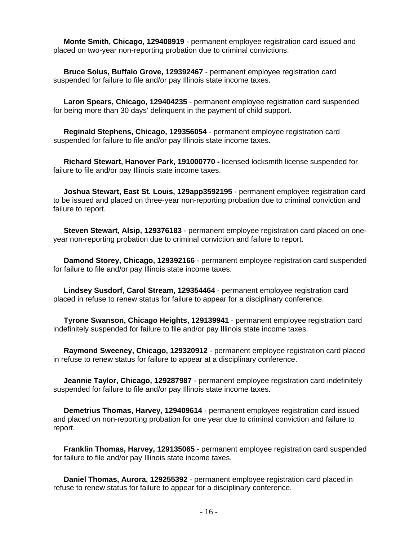**Monte Smith, Chicago, 129408919** - permanent employee registration card issued and placed on two-year non-reporting probation due to criminal convictions.

 **Bruce Solus, Buffalo Grove, 129392467** - permanent employee registration card suspended for failure to file and/or pay Illinois state income taxes.

 **Laron Spears, Chicago, 129404235** - permanent employee registration card suspended for being more than 30 days' delinquent in the payment of child support.

 **Reginald Stephens, Chicago, 129356054** - permanent employee registration card suspended for failure to file and/or pay Illinois state income taxes.

 **Richard Stewart, Hanover Park, 191000770 -** licensed locksmith license suspended for failure to file and/or pay Illinois state income taxes.

 **Joshua Stewart, East St. Louis, 129app3592195** - permanent employee registration card to be issued and placed on three-year non-reporting probation due to criminal conviction and failure to report.

 **Steven Stewart, Alsip, 129376183** - permanent employee registration card placed on oneyear non-reporting probation due to criminal conviction and failure to report.

 **Damond Storey, Chicago, 129392166** - permanent employee registration card suspended for failure to file and/or pay Illinois state income taxes.

 **Lindsey Susdorf, Carol Stream, 129354464** - permanent employee registration card placed in refuse to renew status for failure to appear for a disciplinary conference.

 **Tyrone Swanson, Chicago Heights, 129139941** - permanent employee registration card indefinitely suspended for failure to file and/or pay Illinois state income taxes.

 **Raymond Sweeney, Chicago, 129320912** - permanent employee registration card placed in refuse to renew status for failure to appear at a disciplinary conference.

 **Jeannie Taylor, Chicago, 129287987** - permanent employee registration card indefinitely suspended for failure to file and/or pay Illinois state income taxes.

 **Demetrius Thomas, Harvey, 129409614** - permanent employee registration card issued and placed on non-reporting probation for one year due to criminal conviction and failure to report.

 **Franklin Thomas, Harvey, 129135065** - permanent employee registration card suspended for failure to file and/or pay Illinois state income taxes.

 **Daniel Thomas, Aurora, 129255392** - permanent employee registration card placed in refuse to renew status for failure to appear for a disciplinary conference.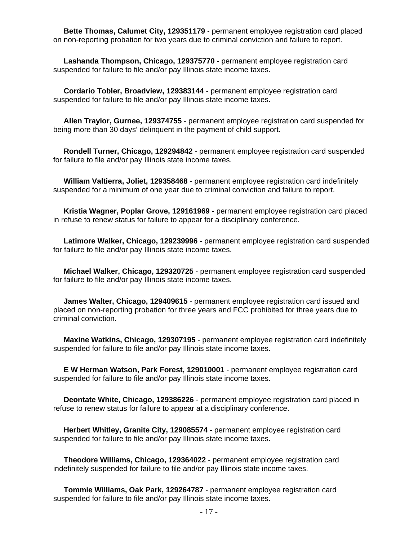**Bette Thomas, Calumet City, 129351179** - permanent employee registration card placed on non-reporting probation for two years due to criminal conviction and failure to report.

 **Lashanda Thompson, Chicago, 129375770** - permanent employee registration card suspended for failure to file and/or pay Illinois state income taxes.

 **Cordario Tobler, Broadview, 129383144** - permanent employee registration card suspended for failure to file and/or pay Illinois state income taxes.

 **Allen Traylor, Gurnee, 129374755** - permanent employee registration card suspended for being more than 30 days' delinquent in the payment of child support.

 **Rondell Turner, Chicago, 129294842** - permanent employee registration card suspended for failure to file and/or pay Illinois state income taxes.

 **William Valtierra, Joliet, 129358468** - permanent employee registration card indefinitely suspended for a minimum of one year due to criminal conviction and failure to report.

 **Kristia Wagner, Poplar Grove, 129161969** - permanent employee registration card placed in refuse to renew status for failure to appear for a disciplinary conference.

 **Latimore Walker, Chicago, 129239996** - permanent employee registration card suspended for failure to file and/or pay Illinois state income taxes.

 **Michael Walker, Chicago, 129320725** - permanent employee registration card suspended for failure to file and/or pay Illinois state income taxes.

 **James Walter, Chicago, 129409615** - permanent employee registration card issued and placed on non-reporting probation for three years and FCC prohibited for three years due to criminal conviction.

 **Maxine Watkins, Chicago, 129307195** - permanent employee registration card indefinitely suspended for failure to file and/or pay Illinois state income taxes.

 **E W Herman Watson, Park Forest, 129010001** - permanent employee registration card suspended for failure to file and/or pay Illinois state income taxes.

 **Deontate White, Chicago, 129386226** - permanent employee registration card placed in refuse to renew status for failure to appear at a disciplinary conference.

 **Herbert Whitley, Granite City, 129085574** - permanent employee registration card suspended for failure to file and/or pay Illinois state income taxes.

 **Theodore Williams, Chicago, 129364022** - permanent employee registration card indefinitely suspended for failure to file and/or pay Illinois state income taxes.

 **Tommie Williams, Oak Park, 129264787** - permanent employee registration card suspended for failure to file and/or pay Illinois state income taxes.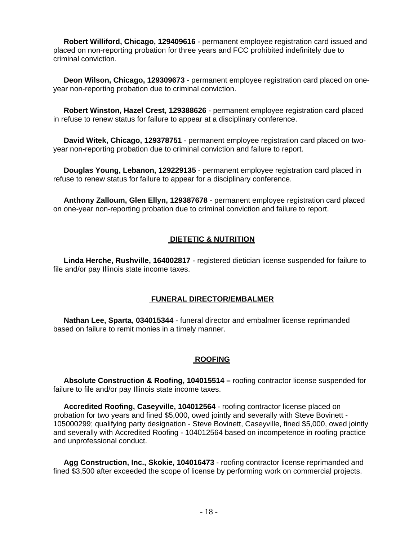**Robert Williford, Chicago, 129409616** - permanent employee registration card issued and placed on non-reporting probation for three years and FCC prohibited indefinitely due to criminal conviction.

 **Deon Wilson, Chicago, 129309673** - permanent employee registration card placed on oneyear non-reporting probation due to criminal conviction.

 **Robert Winston, Hazel Crest, 129388626** - permanent employee registration card placed in refuse to renew status for failure to appear at a disciplinary conference.

 **David Witek, Chicago, 129378751** - permanent employee registration card placed on twoyear non-reporting probation due to criminal conviction and failure to report.

 **Douglas Young, Lebanon, 129229135** - permanent employee registration card placed in refuse to renew status for failure to appear for a disciplinary conference.

 **Anthony Zalloum, Glen Ellyn, 129387678** - permanent employee registration card placed on one-year non-reporting probation due to criminal conviction and failure to report.

#### **DIETETIC & NUTRITION**

 **Linda Herche, Rushville, 164002817** - registered dietician license suspended for failure to file and/or pay Illinois state income taxes.

#### **FUNERAL DIRECTOR/EMBALMER**

 **Nathan Lee, Sparta, 034015344** - funeral director and embalmer license reprimanded based on failure to remit monies in a timely manner.

#### **ROOFING**

 **Absolute Construction & Roofing, 104015514 –** roofing contractor license suspended for failure to file and/or pay Illinois state income taxes.

 **Accredited Roofing, Caseyville, 104012564** - roofing contractor license placed on probation for two years and fined \$5,000, owed jointly and severally with Steve Bovinett - 105000299; qualifying party designation - Steve Bovinett, Caseyville, fined \$5,000, owed jointly and severally with Accredited Roofing - 104012564 based on incompetence in roofing practice and unprofessional conduct.

 **Agg Construction, Inc., Skokie, 104016473** - roofing contractor license reprimanded and fined \$3,500 after exceeded the scope of license by performing work on commercial projects.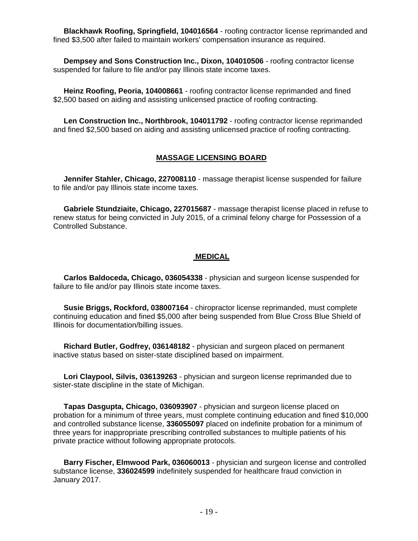**Blackhawk Roofing, Springfield, 104016564** - roofing contractor license reprimanded and fined \$3,500 after failed to maintain workers' compensation insurance as required.

 **Dempsey and Sons Construction Inc., Dixon, 104010506** - roofing contractor license suspended for failure to file and/or pay Illinois state income taxes.

 **Heinz Roofing, Peoria, 104008661** - roofing contractor license reprimanded and fined \$2,500 based on aiding and assisting unlicensed practice of roofing contracting.

 **Len Construction Inc., Northbrook, 104011792** - roofing contractor license reprimanded and fined \$2,500 based on aiding and assisting unlicensed practice of roofing contracting.

#### **MASSAGE LICENSING BOARD**

 **Jennifer Stahler, Chicago, 227008110** - massage therapist license suspended for failure to file and/or pay Illinois state income taxes.

 **Gabriele Stundziaite, Chicago, 227015687** - massage therapist license placed in refuse to renew status for being convicted in July 2015, of a criminal felony charge for Possession of a Controlled Substance.

#### **MEDICAL**

 **Carlos Baldoceda, Chicago, 036054338** - physician and surgeon license suspended for failure to file and/or pay Illinois state income taxes.

 **Susie Briggs, Rockford, 038007164** - chiropractor license reprimanded, must complete continuing education and fined \$5,000 after being suspended from Blue Cross Blue Shield of Illinois for documentation/billing issues.

 **Richard Butler, Godfrey, 036148182** - physician and surgeon placed on permanent inactive status based on sister-state disciplined based on impairment.

 **Lori Claypool, Silvis, 036139263** - physician and surgeon license reprimanded due to sister-state discipline in the state of Michigan.

 **Tapas Dasgupta, Chicago, 036093907** - physician and surgeon license placed on probation for a minimum of three years, must complete continuing education and fined \$10,000 and controlled substance license, **336055097** placed on indefinite probation for a minimum of three years for inappropriate prescribing controlled substances to multiple patients of his private practice without following appropriate protocols.

 **Barry Fischer, Elmwood Park, 036060013** - physician and surgeon license and controlled substance license, **336024599** indefinitely suspended for healthcare fraud conviction in January 2017.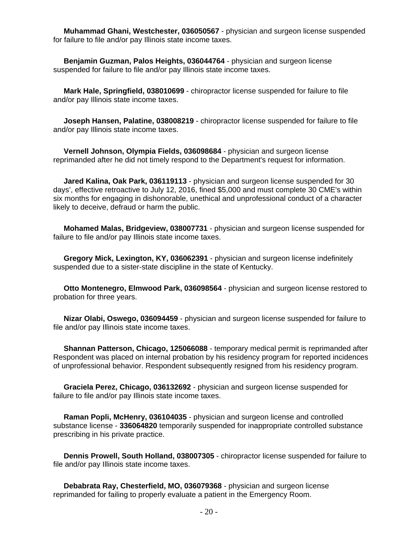**Muhammad Ghani, Westchester, 036050567** - physician and surgeon license suspended for failure to file and/or pay Illinois state income taxes.

 **Benjamin Guzman, Palos Heights, 036044764** - physician and surgeon license suspended for failure to file and/or pay Illinois state income taxes.

 **Mark Hale, Springfield, 038010699** - chiropractor license suspended for failure to file and/or pay Illinois state income taxes.

 **Joseph Hansen, Palatine, 038008219** - chiropractor license suspended for failure to file and/or pay Illinois state income taxes.

 **Vernell Johnson, Olympia Fields, 036098684** - physician and surgeon license reprimanded after he did not timely respond to the Department's request for information.

 **Jared Kalina, Oak Park, 036119113** - physician and surgeon license suspended for 30 days', effective retroactive to July 12, 2016, fined \$5,000 and must complete 30 CME's within six months for engaging in dishonorable, unethical and unprofessional conduct of a character likely to deceive, defraud or harm the public.

 **Mohamed Malas, Bridgeview, 038007731** - physician and surgeon license suspended for failure to file and/or pay Illinois state income taxes.

 **Gregory Mick, Lexington, KY, 036062391** - physician and surgeon license indefinitely suspended due to a sister-state discipline in the state of Kentucky.

 **Otto Montenegro, Elmwood Park, 036098564** - physician and surgeon license restored to probation for three years.

 **Nizar Olabi, Oswego, 036094459** - physician and surgeon license suspended for failure to file and/or pay Illinois state income taxes.

 **Shannan Patterson, Chicago, 125066088** - temporary medical permit is reprimanded after Respondent was placed on internal probation by his residency program for reported incidences of unprofessional behavior. Respondent subsequently resigned from his residency program.

 **Graciela Perez, Chicago, 036132692** - physician and surgeon license suspended for failure to file and/or pay Illinois state income taxes.

 **Raman Popli, McHenry, 036104035** - physician and surgeon license and controlled substance license - **336064820** temporarily suspended for inappropriate controlled substance prescribing in his private practice.

 **Dennis Prowell, South Holland, 038007305** - chiropractor license suspended for failure to file and/or pay Illinois state income taxes.

 **Debabrata Ray, Chesterfield, MO, 036079368** - physician and surgeon license reprimanded for failing to properly evaluate a patient in the Emergency Room.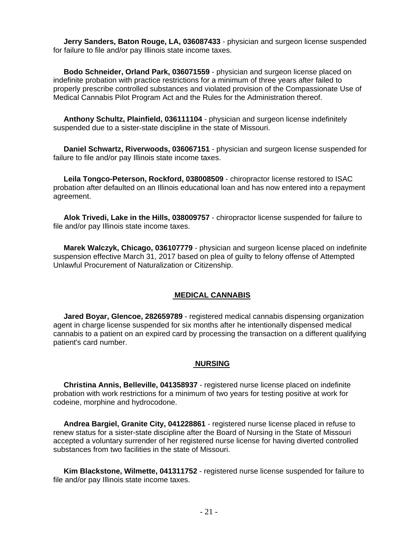**Jerry Sanders, Baton Rouge, LA, 036087433** - physician and surgeon license suspended for failure to file and/or pay Illinois state income taxes.

 **Bodo Schneider, Orland Park, 036071559** - physician and surgeon license placed on indefinite probation with practice restrictions for a minimum of three years after failed to properly prescribe controlled substances and violated provision of the Compassionate Use of Medical Cannabis Pilot Program Act and the Rules for the Administration thereof.

 **Anthony Schultz, Plainfield, 036111104** - physician and surgeon license indefinitely suspended due to a sister-state discipline in the state of Missouri.

 **Daniel Schwartz, Riverwoods, 036067151** - physician and surgeon license suspended for failure to file and/or pay Illinois state income taxes.

 **Leila Tongco-Peterson, Rockford, 038008509** - chiropractor license restored to ISAC probation after defaulted on an Illinois educational loan and has now entered into a repayment agreement.

 **Alok Trivedi, Lake in the Hills, 038009757** - chiropractor license suspended for failure to file and/or pay Illinois state income taxes.

 **Marek Walczyk, Chicago, 036107779** - physician and surgeon license placed on indefinite suspension effective March 31, 2017 based on plea of guilty to felony offense of Attempted Unlawful Procurement of Naturalization or Citizenship.

#### **MEDICAL CANNABIS**

 **Jared Boyar, Glencoe, 282659789** - registered medical cannabis dispensing organization agent in charge license suspended for six months after he intentionally dispensed medical cannabis to a patient on an expired card by processing the transaction on a different qualifying patient's card number.

#### **NURSING**

 **Christina Annis, Belleville, 041358937** - registered nurse license placed on indefinite probation with work restrictions for a minimum of two years for testing positive at work for codeine, morphine and hydrocodone.

 **Andrea Bargiel, Granite City, 041228861** - registered nurse license placed in refuse to renew status for a sister-state discipline after the Board of Nursing in the State of Missouri accepted a voluntary surrender of her registered nurse license for having diverted controlled substances from two facilities in the state of Missouri.

 **Kim Blackstone, Wilmette, 041311752** - registered nurse license suspended for failure to file and/or pay Illinois state income taxes.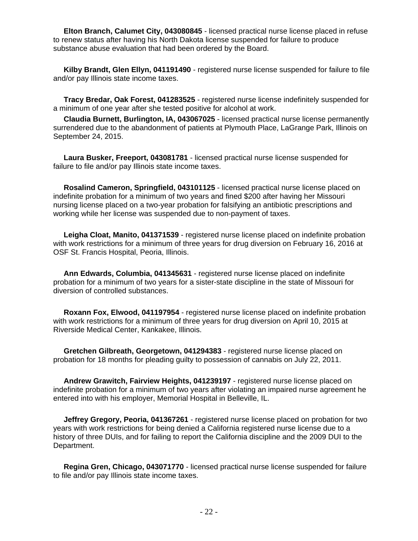**Elton Branch, Calumet City, 043080845** - licensed practical nurse license placed in refuse to renew status after having his North Dakota license suspended for failure to produce substance abuse evaluation that had been ordered by the Board.

 **Kilby Brandt, Glen Ellyn, 041191490** - registered nurse license suspended for failure to file and/or pay Illinois state income taxes.

 **Tracy Bredar, Oak Forest, 041283525** - registered nurse license indefinitely suspended for a minimum of one year after she tested positive for alcohol at work.

 **Claudia Burnett, Burlington, IA, 043067025** - licensed practical nurse license permanently surrendered due to the abandonment of patients at Plymouth Place, LaGrange Park, Illinois on September 24, 2015.

 **Laura Busker, Freeport, 043081781** - licensed practical nurse license suspended for failure to file and/or pay Illinois state income taxes.

 **Rosalind Cameron, Springfield, 043101125** - licensed practical nurse license placed on indefinite probation for a minimum of two years and fined \$200 after having her Missouri nursing license placed on a two-year probation for falsifying an antibiotic prescriptions and working while her license was suspended due to non-payment of taxes.

 **Leigha Cloat, Manito, 041371539** - registered nurse license placed on indefinite probation with work restrictions for a minimum of three years for drug diversion on February 16, 2016 at OSF St. Francis Hospital, Peoria, Illinois.

 **Ann Edwards, Columbia, 041345631** - registered nurse license placed on indefinite probation for a minimum of two years for a sister-state discipline in the state of Missouri for diversion of controlled substances.

 **Roxann Fox, Elwood, 041197954** - registered nurse license placed on indefinite probation with work restrictions for a minimum of three years for drug diversion on April 10, 2015 at Riverside Medical Center, Kankakee, Illinois.

 **Gretchen Gilbreath, Georgetown, 041294383** - registered nurse license placed on probation for 18 months for pleading guilty to possession of cannabis on July 22, 2011.

 **Andrew Grawitch, Fairview Heights, 041239197** - registered nurse license placed on indefinite probation for a minimum of two years after violating an impaired nurse agreement he entered into with his employer, Memorial Hospital in Belleville, IL.

 **Jeffrey Gregory, Peoria, 041367261** - registered nurse license placed on probation for two years with work restrictions for being denied a California registered nurse license due to a history of three DUIs, and for failing to report the California discipline and the 2009 DUI to the Department.

 **Regina Gren, Chicago, 043071770** - licensed practical nurse license suspended for failure to file and/or pay Illinois state income taxes.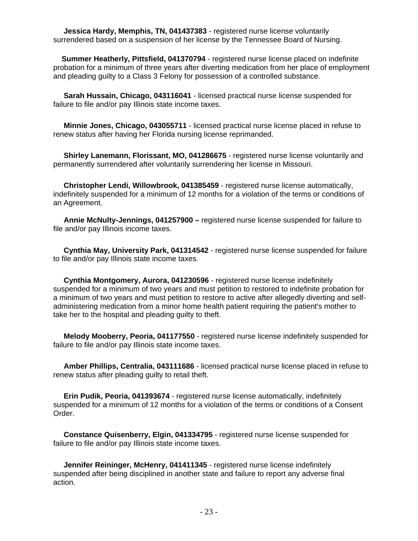**Jessica Hardy, Memphis, TN, 041437383** - registered nurse license voluntarily surrendered based on a suspension of her license by the Tennessee Board of Nursing.

 **Summer Heatherly, Pittsfield, 041370794** - registered nurse license placed on indefinite probation for a minimum of three years after diverting medication from her place of employment and pleading guilty to a Class 3 Felony for possession of a controlled substance.

 **Sarah Hussain, Chicago, 043116041** - licensed practical nurse license suspended for failure to file and/or pay Illinois state income taxes.

 **Minnie Jones, Chicago, 043055711** - licensed practical nurse license placed in refuse to renew status after having her Florida nursing license reprimanded.

 **Shirley Lanemann, Florissant, MO, 041286675** - registered nurse license voluntarily and permanently surrendered after voluntarily surrendering her license in Missouri.

 **Christopher Lendi, Willowbrook, 041385459** - registered nurse license automatically, indefinitely suspended for a minimum of 12 months for a violation of the terms or conditions of an Agreement.

 **Annie McNulty-Jennings, 041257900 –** registered nurse license suspended for failure to file and/or pay Illinois income taxes.

 **Cynthia May, University Park, 041314542** - registered nurse license suspended for failure to file and/or pay Illinois state income taxes.

 **Cynthia Montgomery, Aurora, 041230596** - registered nurse license indefinitely suspended for a minimum of two years and must petition to restored to indefinite probation for a minimum of two years and must petition to restore to active after allegedly diverting and selfadministering medication from a minor home health patient requiring the patient's mother to take her to the hospital and pleading guilty to theft.

 **Melody Mooberry, Peoria, 041177550** - registered nurse license indefinitely suspended for failure to file and/or pay Illinois state income taxes.

 **Amber Phillips, Centralia, 043111686** - licensed practical nurse license placed in refuse to renew status after pleading guilty to retail theft.

 **Erin Pudik, Peoria, 041393674** - registered nurse license automatically, indefinitely suspended for a minimum of 12 months for a violation of the terms or conditions of a Consent Order.

 **Constance Quisenberry, Elgin, 041334795** - registered nurse license suspended for failure to file and/or pay Illinois state income taxes.

 **Jennifer Reininger, McHenry, 041411345** - registered nurse license indefinitely suspended after being disciplined in another state and failure to report any adverse final action.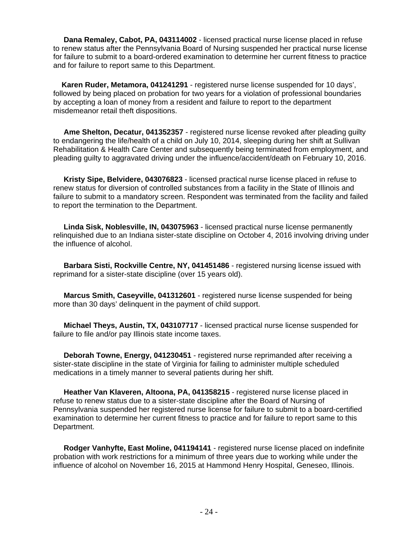**Dana Remaley, Cabot, PA, 043114002** - licensed practical nurse license placed in refuse to renew status after the Pennsylvania Board of Nursing suspended her practical nurse license for failure to submit to a board-ordered examination to determine her current fitness to practice and for failure to report same to this Department.

 **Karen Ruder, Metamora, 041241291** - registered nurse license suspended for 10 days', followed by being placed on probation for two years for a violation of professional boundaries by accepting a loan of money from a resident and failure to report to the department misdemeanor retail theft dispositions.

 **Ame Shelton, Decatur, 041352357** - registered nurse license revoked after pleading guilty to endangering the life/health of a child on July 10, 2014, sleeping during her shift at Sullivan Rehabilitation & Health Care Center and subsequently being terminated from employment, and pleading guilty to aggravated driving under the influence/accident/death on February 10, 2016.

 **Kristy Sipe, Belvidere, 043076823** - licensed practical nurse license placed in refuse to renew status for diversion of controlled substances from a facility in the State of Illinois and failure to submit to a mandatory screen. Respondent was terminated from the facility and failed to report the termination to the Department.

 **Linda Sisk, Noblesville, IN, 043075963** - licensed practical nurse license permanently relinquished due to an Indiana sister-state discipline on October 4, 2016 involving driving under the influence of alcohol.

 **Barbara Sisti, Rockville Centre, NY, 041451486** - registered nursing license issued with reprimand for a sister-state discipline (over 15 years old).

 **Marcus Smith, Caseyville, 041312601** - registered nurse license suspended for being more than 30 days' delinquent in the payment of child support.

 **Michael Theys, Austin, TX, 043107717** - licensed practical nurse license suspended for failure to file and/or pay Illinois state income taxes.

 **Deborah Towne, Energy, 041230451** - registered nurse reprimanded after receiving a sister-state discipline in the state of Virginia for failing to administer multiple scheduled medications in a timely manner to several patients during her shift.

 **Heather Van Klaveren, Altoona, PA, 041358215** - registered nurse license placed in refuse to renew status due to a sister-state discipline after the Board of Nursing of Pennsylvania suspended her registered nurse license for failure to submit to a board-certified examination to determine her current fitness to practice and for failure to report same to this Department.

 **Rodger Vanhyfte, East Moline, 041194141** - registered nurse license placed on indefinite probation with work restrictions for a minimum of three years due to working while under the influence of alcohol on November 16, 2015 at Hammond Henry Hospital, Geneseo, Illinois.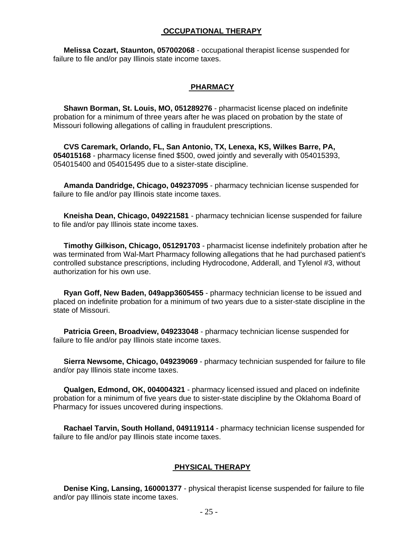#### **OCCUPATIONAL THERAPY**

 **Melissa Cozart, Staunton, 057002068** - occupational therapist license suspended for failure to file and/or pay Illinois state income taxes.

#### **PHARMACY**

 **Shawn Borman, St. Louis, MO, 051289276** - pharmacist license placed on indefinite probation for a minimum of three years after he was placed on probation by the state of Missouri following allegations of calling in fraudulent prescriptions.

 **CVS Caremark, Orlando, FL, San Antonio, TX, Lenexa, KS, Wilkes Barre, PA, 054015168** - pharmacy license fined \$500, owed jointly and severally with 054015393, 054015400 and 054015495 due to a sister-state discipline.

 **Amanda Dandridge, Chicago, 049237095** - pharmacy technician license suspended for failure to file and/or pay Illinois state income taxes.

 **Kneisha Dean, Chicago, 049221581** - pharmacy technician license suspended for failure to file and/or pay Illinois state income taxes.

 **Timothy Gilkison, Chicago, 051291703** - pharmacist license indefinitely probation after he was terminated from Wal-Mart Pharmacy following allegations that he had purchased patient's controlled substance prescriptions, including Hydrocodone, Adderall, and Tylenol #3, without authorization for his own use.

 **Ryan Goff, New Baden, 049app3605455** - pharmacy technician license to be issued and placed on indefinite probation for a minimum of two years due to a sister-state discipline in the state of Missouri.

 **Patricia Green, Broadview, 049233048** - pharmacy technician license suspended for failure to file and/or pay Illinois state income taxes.

 **Sierra Newsome, Chicago, 049239069** - pharmacy technician suspended for failure to file and/or pay Illinois state income taxes.

 **Qualgen, Edmond, OK, 004004321** - pharmacy licensed issued and placed on indefinite probation for a minimum of five years due to sister-state discipline by the Oklahoma Board of Pharmacy for issues uncovered during inspections.

 **Rachael Tarvin, South Holland, 049119114** - pharmacy technician license suspended for failure to file and/or pay Illinois state income taxes.

#### **PHYSICAL THERAPY**

 **Denise King, Lansing, 160001377** - physical therapist license suspended for failure to file and/or pay Illinois state income taxes.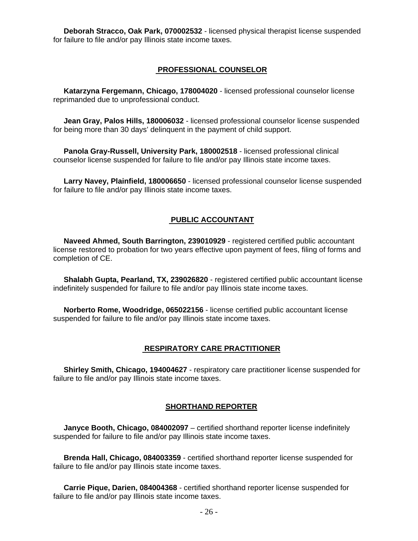**Deborah Stracco, Oak Park, 070002532** - licensed physical therapist license suspended for failure to file and/or pay Illinois state income taxes.

#### **PROFESSIONAL COUNSELOR**

 **Katarzyna Fergemann, Chicago, 178004020** - licensed professional counselor license reprimanded due to unprofessional conduct.

 **Jean Gray, Palos Hills, 180006032** - licensed professional counselor license suspended for being more than 30 days' delinquent in the payment of child support.

 **Panola Gray-Russell, University Park, 180002518** - licensed professional clinical counselor license suspended for failure to file and/or pay Illinois state income taxes.

 **Larry Navey, Plainfield, 180006650** - licensed professional counselor license suspended for failure to file and/or pay Illinois state income taxes.

#### **PUBLIC ACCOUNTANT**

 **Naveed Ahmed, South Barrington, 239010929** - registered certified public accountant license restored to probation for two years effective upon payment of fees, filing of forms and completion of CE.

 **Shalabh Gupta, Pearland, TX, 239026820** - registered certified public accountant license indefinitely suspended for failure to file and/or pay Illinois state income taxes.

 **Norberto Rome, Woodridge, 065022156** - license certified public accountant license suspended for failure to file and/or pay Illinois state income taxes.

#### **RESPIRATORY CARE PRACTITIONER**

 **Shirley Smith, Chicago, 194004627** - respiratory care practitioner license suspended for failure to file and/or pay Illinois state income taxes.

#### **SHORTHAND REPORTER**

 **Janyce Booth, Chicago, 084002097** – certified shorthand reporter license indefinitely suspended for failure to file and/or pay Illinois state income taxes.

 **Brenda Hall, Chicago, 084003359** - certified shorthand reporter license suspended for failure to file and/or pay Illinois state income taxes.

 **Carrie Pique, Darien, 084004368** - certified shorthand reporter license suspended for failure to file and/or pay Illinois state income taxes.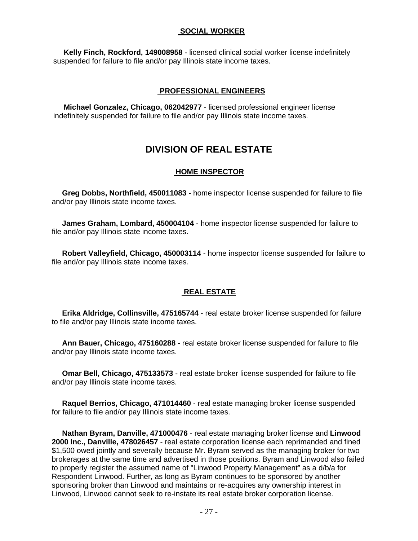#### **SOCIAL WORKER**

 **Kelly Finch, Rockford, 149008958** - licensed clinical social worker license indefinitely suspended for failure to file and/or pay Illinois state income taxes.

#### **PROFESSIONAL ENGINEERS**

 **Michael Gonzalez, Chicago, 062042977** - licensed professional engineer license indefinitely suspended for failure to file and/or pay Illinois state income taxes.

## **DIVISION OF REAL ESTATE**

#### **HOME INSPECTOR**

 **Greg Dobbs, Northfield, 450011083** - home inspector license suspended for failure to file and/or pay Illinois state income taxes.

 **James Graham, Lombard, 450004104** - home inspector license suspended for failure to file and/or pay Illinois state income taxes.

 **Robert Valleyfield, Chicago, 450003114** - home inspector license suspended for failure to file and/or pay Illinois state income taxes.

#### **REAL ESTATE**

 **Erika Aldridge, Collinsville, 475165744** - real estate broker license suspended for failure to file and/or pay Illinois state income taxes.

 **Ann Bauer, Chicago, 475160288** - real estate broker license suspended for failure to file and/or pay Illinois state income taxes.

 **Omar Bell, Chicago, 475133573** - real estate broker license suspended for failure to file and/or pay Illinois state income taxes.

 **Raquel Berrios, Chicago, 471014460** - real estate managing broker license suspended for failure to file and/or pay Illinois state income taxes.

 **Nathan Byram, Danville, 471000476** - real estate managing broker license and **Linwood 2000 Inc., Danville, 478026457** - real estate corporation license each reprimanded and fined \$1,500 owed jointly and severally because Mr. Byram served as the managing broker for two brokerages at the same time and advertised in those positions. Byram and Linwood also failed to properly register the assumed name of "Linwood Property Management" as a d/b/a for Respondent Linwood. Further, as long as Byram continues to be sponsored by another sponsoring broker than Linwood and maintains or re-acquires any ownership interest in Linwood, Linwood cannot seek to re-instate its real estate broker corporation license.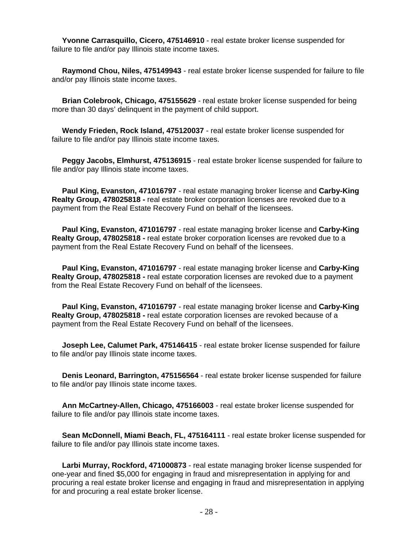**Yvonne Carrasquillo, Cicero, 475146910** - real estate broker license suspended for failure to file and/or pay Illinois state income taxes.

 **Raymond Chou, Niles, 475149943** - real estate broker license suspended for failure to file and/or pay Illinois state income taxes.

 **Brian Colebrook, Chicago, 475155629** - real estate broker license suspended for being more than 30 days' delinquent in the payment of child support.

 **Wendy Frieden, Rock Island, 475120037** - real estate broker license suspended for failure to file and/or pay Illinois state income taxes.

 **Peggy Jacobs, Elmhurst, 475136915** - real estate broker license suspended for failure to file and/or pay Illinois state income taxes.

 **Paul King, Evanston, 471016797** - real estate managing broker license and **Carby-King Realty Group, 478025818 -** real estate broker corporation licenses are revoked due to a payment from the Real Estate Recovery Fund on behalf of the licensees.

 **Paul King, Evanston, 471016797** - real estate managing broker license and **Carby-King Realty Group, 478025818 -** real estate broker corporation licenses are revoked due to a payment from the Real Estate Recovery Fund on behalf of the licensees.

 **Paul King, Evanston, 471016797** - real estate managing broker license and **Carby-King Realty Group, 478025818 -** real estate corporation licenses are revoked due to a payment from the Real Estate Recovery Fund on behalf of the licensees.

 **Paul King, Evanston, 471016797** - real estate managing broker license and **Carby-King Realty Group, 478025818 -** real estate corporation licenses are revoked because of a payment from the Real Estate Recovery Fund on behalf of the licensees.

 **Joseph Lee, Calumet Park, 475146415** - real estate broker license suspended for failure to file and/or pay Illinois state income taxes.

 **Denis Leonard, Barrington, 475156564** - real estate broker license suspended for failure to file and/or pay Illinois state income taxes.

 **Ann McCartney-Allen, Chicago, 475166003** - real estate broker license suspended for failure to file and/or pay Illinois state income taxes.

 **Sean McDonnell, Miami Beach, FL, 475164111** - real estate broker license suspended for failure to file and/or pay Illinois state income taxes.

 **Larbi Murray, Rockford, 471000873** - real estate managing broker license suspended for one-year and fined \$5,000 for engaging in fraud and misrepresentation in applying for and procuring a real estate broker license and engaging in fraud and misrepresentation in applying for and procuring a real estate broker license.